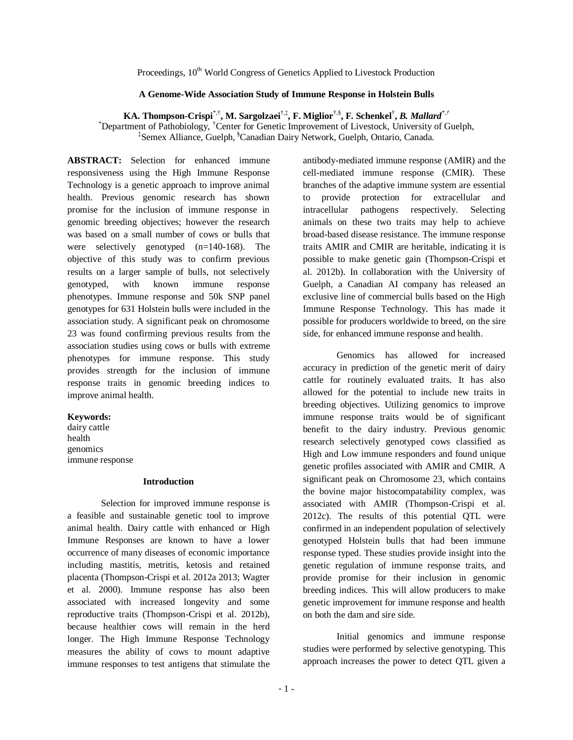Proceedings, 10<sup>th</sup> World Congress of Genetics Applied to Livestock Production

# **A Genome-Wide Association Study of Immune Response in Holstein Bulls**

**KA. Thompson-Crispi**\*,† **, M. Sargolzaei** †,‡ **, F. Miglior**†,§ **, F. Schenkel**† **,** *B. Mallard\*,†* \*Department of Pathobiology, †Center for Genetic Improvement of Livestock, University of Guelph, ‡ Semex Alliance, Guelph, §Canadian Dairy Network, Guelph, Ontario, Canada.

**ABSTRACT:** Selection for enhanced immune responsiveness using the High Immune Response Technology is a genetic approach to improve animal health. Previous genomic research has shown promise for the inclusion of immune response in genomic breeding objectives; however the research was based on a small number of cows or bulls that were selectively genotyped (n=140-168). The objective of this study was to confirm previous results on a larger sample of bulls, not selectively genotyped, with known immune response phenotypes. Immune response and 50k SNP panel genotypes for 631 Holstein bulls were included in the association study. A significant peak on chromosome 23 was found confirming previous results from the association studies using cows or bulls with extreme phenotypes for immune response. This study provides strength for the inclusion of immune response traits in genomic breeding indices to improve animal health.

## **Keywords:**

dairy cattle health genomics immune response

#### **Introduction**

Selection for improved immune response is a feasible and sustainable genetic tool to improve animal health. Dairy cattle with enhanced or High Immune Responses are known to have a lower occurrence of many diseases of economic importance including mastitis, metritis, ketosis and retained placenta (Thompson-Crispi et al. 2012a 2013; Wagter et al. 2000). Immune response has also been associated with increased longevity and some reproductive traits (Thompson-Crispi et al. 2012b), because healthier cows will remain in the herd longer. The High Immune Response Technology measures the ability of cows to mount adaptive immune responses to test antigens that stimulate the

antibody-mediated immune response (AMIR) and the cell-mediated immune response (CMIR). These branches of the adaptive immune system are essential to provide protection for extracellular and intracellular pathogens respectively. Selecting animals on these two traits may help to achieve broad-based disease resistance. The immune response traits AMIR and CMIR are heritable, indicating it is possible to make genetic gain (Thompson-Crispi et al. 2012b). In collaboration with the University of Guelph, a Canadian AI company has released an exclusive line of commercial bulls based on the High Immune Response Technology. This has made it possible for producers worldwide to breed, on the sire side, for enhanced immune response and health.

Genomics has allowed for increased accuracy in prediction of the genetic merit of dairy cattle for routinely evaluated traits. It has also allowed for the potential to include new traits in breeding objectives. Utilizing genomics to improve immune response traits would be of significant benefit to the dairy industry. Previous genomic research selectively genotyped cows classified as High and Low immune responders and found unique genetic profiles associated with AMIR and CMIR. A significant peak on Chromosome 23, which contains the bovine major histocompatability complex, was associated with AMIR (Thompson-Crispi et al. 2012c). The results of this potential QTL were confirmed in an independent population of selectively genotyped Holstein bulls that had been immune response typed. These studies provide insight into the genetic regulation of immune response traits, and provide promise for their inclusion in genomic breeding indices. This will allow producers to make genetic improvement for immune response and health on both the dam and sire side.

Initial genomics and immune response studies were performed by selective genotyping. This approach increases the power to detect QTL given a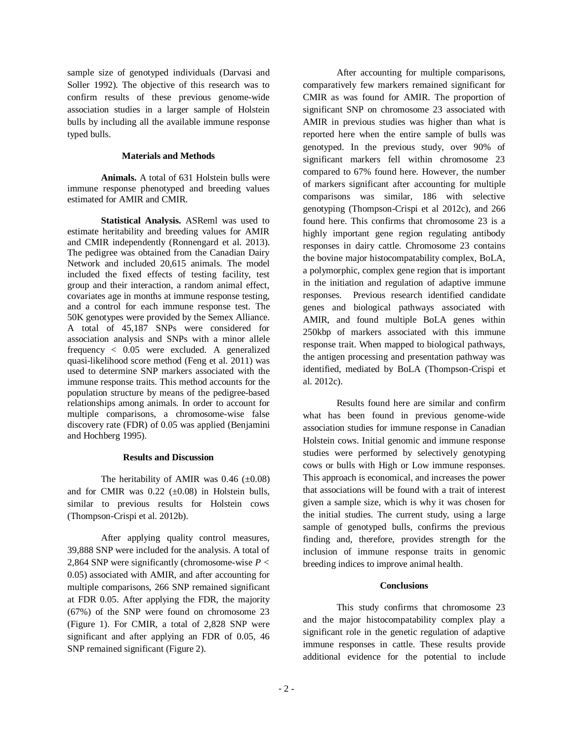sample size of genotyped individuals (Darvasi and Soller 1992). The objective of this research was to confirm results of these previous genome-wide association studies in a larger sample of Holstein bulls by including all the available immune response typed bulls.

## **Materials and Methods**

**Animals.** A total of 631 Holstein bulls were immune response phenotyped and breeding values estimated for AMIR and CMIR.

**Statistical Analysis.** ASReml was used to estimate heritability and breeding values for AMIR and CMIR independently (Ronnengard et al. 2013). The pedigree was obtained from the Canadian Dairy Network and included 20,615 animals. The model included the fixed effects of testing facility, test group and their interaction, a random animal effect, covariates age in months at immune response testing, and a control for each immune response test. The 50K genotypes were provided by the Semex Alliance. A total of 45,187 SNPs were considered for association analysis and SNPs with a minor allele frequency < 0.05 were excluded. A generalized quasi-likelihood score method (Feng et al. 2011) was used to determine SNP markers associated with the immune response traits. This method accounts for the population structure by means of the pedigree-based relationships among animals. In order to account for multiple comparisons, a chromosome-wise false discovery rate (FDR) of 0.05 was applied (Benjamini and Hochberg 1995).

## **Results and Discussion**

The heritability of AMIR was  $0.46$  ( $\pm 0.08$ ) and for CMIR was  $0.22$  ( $\pm 0.08$ ) in Holstein bulls, similar to previous results for Holstein cows (Thompson-Crispi et al. 2012b).

After applying quality control measures, 39,888 SNP were included for the analysis. A total of 2,864 SNP were significantly (chromosome-wise *P <*  0.05) associated with AMIR, and after accounting for multiple comparisons, 266 SNP remained significant at FDR 0.05. After applying the FDR, the majority (67%) of the SNP were found on chromosome 23 (Figure 1). For CMIR, a total of 2,828 SNP were significant and after applying an FDR of 0.05, 46 SNP remained significant (Figure 2).

After accounting for multiple comparisons, comparatively few markers remained significant for CMIR as was found for AMIR. The proportion of significant SNP on chromosome 23 associated with AMIR in previous studies was higher than what is reported here when the entire sample of bulls was genotyped. In the previous study, over 90% of significant markers fell within chromosome 23 compared to 67% found here. However, the number of markers significant after accounting for multiple comparisons was similar, 186 with selective genotyping (Thompson-Crispi et al 2012c), and 266 found here. This confirms that chromosome 23 is a highly important gene region regulating antibody responses in dairy cattle. Chromosome 23 contains the bovine major histocompatability complex, BoLA, a polymorphic, complex gene region that is important in the initiation and regulation of adaptive immune responses. Previous research identified candidate genes and biological pathways associated with AMIR, and found multiple BoLA genes within 250kbp of markers associated with this immune response trait. When mapped to biological pathways, the antigen processing and presentation pathway was identified, mediated by BoLA (Thompson-Crispi et al. 2012c).

Results found here are similar and confirm what has been found in previous genome-wide association studies for immune response in Canadian Holstein cows. Initial genomic and immune response studies were performed by selectively genotyping cows or bulls with High or Low immune responses. This approach is economical, and increases the power that associations will be found with a trait of interest given a sample size, which is why it was chosen for the initial studies. The current study, using a large sample of genotyped bulls, confirms the previous finding and, therefore, provides strength for the inclusion of immune response traits in genomic breeding indices to improve animal health.

## **Conclusions**

This study confirms that chromosome 23 and the major histocompatability complex play a significant role in the genetic regulation of adaptive immune responses in cattle. These results provide additional evidence for the potential to include